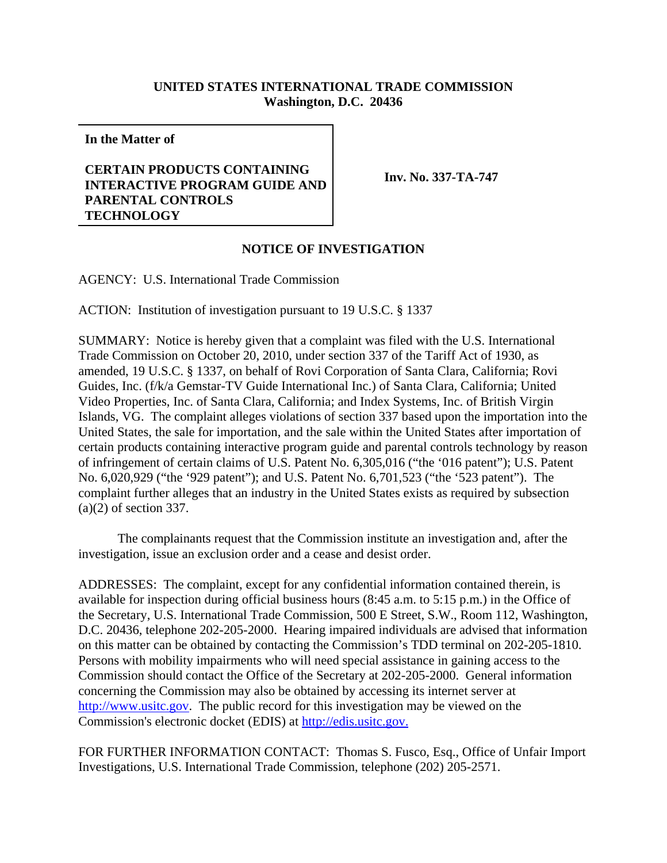## **UNITED STATES INTERNATIONAL TRADE COMMISSION Washington, D.C. 20436**

**In the Matter of**

## **CERTAIN PRODUCTS CONTAINING INTERACTIVE PROGRAM GUIDE AND PARENTAL CONTROLS TECHNOLOGY**

**Inv. No. 337-TA-747**

## **NOTICE OF INVESTIGATION**

AGENCY: U.S. International Trade Commission

ACTION: Institution of investigation pursuant to 19 U.S.C. § 1337

SUMMARY: Notice is hereby given that a complaint was filed with the U.S. International Trade Commission on October 20, 2010, under section 337 of the Tariff Act of 1930, as amended, 19 U.S.C. § 1337, on behalf of Rovi Corporation of Santa Clara, California; Rovi Guides, Inc. (f/k/a Gemstar-TV Guide International Inc.) of Santa Clara, California; United Video Properties, Inc. of Santa Clara, California; and Index Systems, Inc. of British Virgin Islands, VG. The complaint alleges violations of section 337 based upon the importation into the United States, the sale for importation, and the sale within the United States after importation of certain products containing interactive program guide and parental controls technology by reason of infringement of certain claims of U.S. Patent No. 6,305,016 ("the '016 patent"); U.S. Patent No. 6,020,929 ("the '929 patent"); and U.S. Patent No. 6,701,523 ("the '523 patent"). The complaint further alleges that an industry in the United States exists as required by subsection (a)(2) of section 337.

The complainants request that the Commission institute an investigation and, after the investigation, issue an exclusion order and a cease and desist order.

ADDRESSES: The complaint, except for any confidential information contained therein, is available for inspection during official business hours (8:45 a.m. to 5:15 p.m.) in the Office of the Secretary, U.S. International Trade Commission, 500 E Street, S.W., Room 112, Washington, D.C. 20436, telephone 202-205-2000. Hearing impaired individuals are advised that information on this matter can be obtained by contacting the Commission's TDD terminal on 202-205-1810. Persons with mobility impairments who will need special assistance in gaining access to the Commission should contact the Office of the Secretary at 202-205-2000. General information concerning the Commission may also be obtained by accessing its internet server at http://www.usitc.gov. The public record for this investigation may be viewed on the Commission's electronic docket (EDIS) at http://edis.usitc.gov.

FOR FURTHER INFORMATION CONTACT: Thomas S. Fusco, Esq., Office of Unfair Import Investigations, U.S. International Trade Commission, telephone (202) 205-2571.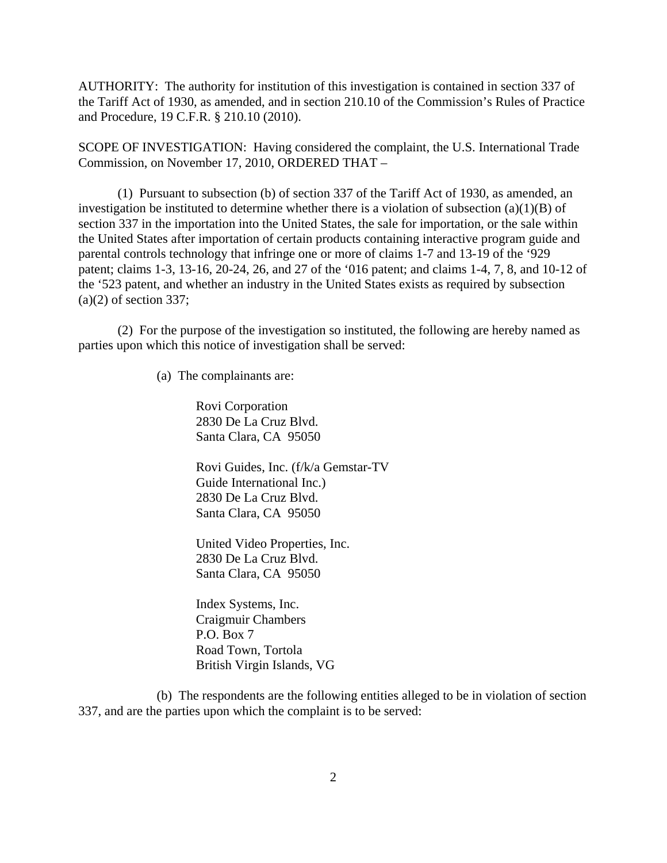AUTHORITY: The authority for institution of this investigation is contained in section 337 of the Tariff Act of 1930, as amended, and in section 210.10 of the Commission's Rules of Practice and Procedure, 19 C.F.R. § 210.10 (2010).

SCOPE OF INVESTIGATION: Having considered the complaint, the U.S. International Trade Commission, on November 17, 2010, ORDERED THAT –

(1) Pursuant to subsection (b) of section 337 of the Tariff Act of 1930, as amended, an investigation be instituted to determine whether there is a violation of subsection  $(a)(1)(B)$  of section 337 in the importation into the United States, the sale for importation, or the sale within the United States after importation of certain products containing interactive program guide and parental controls technology that infringe one or more of claims 1-7 and 13-19 of the '929 patent; claims 1-3, 13-16, 20-24, 26, and 27 of the '016 patent; and claims 1-4, 7, 8, and 10-12 of the '523 patent, and whether an industry in the United States exists as required by subsection  $(a)(2)$  of section 337;

(2) For the purpose of the investigation so instituted, the following are hereby named as parties upon which this notice of investigation shall be served:

(a) The complainants are:

Rovi Corporation 2830 De La Cruz Blvd. Santa Clara, CA 95050

Rovi Guides, Inc. (f/k/a Gemstar-TV Guide International Inc.) 2830 De La Cruz Blvd. Santa Clara, CA 95050

United Video Properties, Inc. 2830 De La Cruz Blvd. Santa Clara, CA 95050

Index Systems, Inc. Craigmuir Chambers P.O. Box 7 Road Town, Tortola British Virgin Islands, VG

(b) The respondents are the following entities alleged to be in violation of section 337, and are the parties upon which the complaint is to be served: